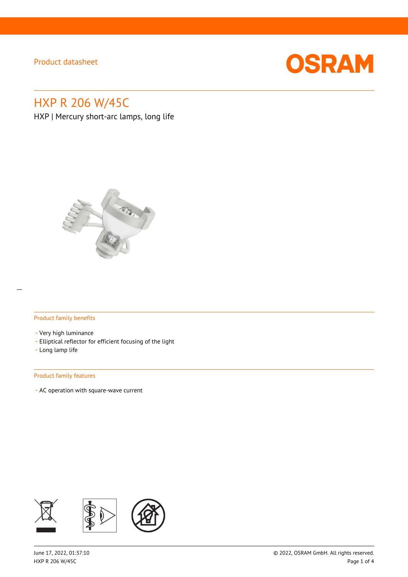

# HXP R 206 W/45C

HXP | Mercury short-arc lamps, long life



#### Product family benefits

- \_ Very high luminance
- \_ Elliptical reflector for efficient focusing of the light
- \_ Long lamp life

#### Product family features

\_ AC operation with square-wave current

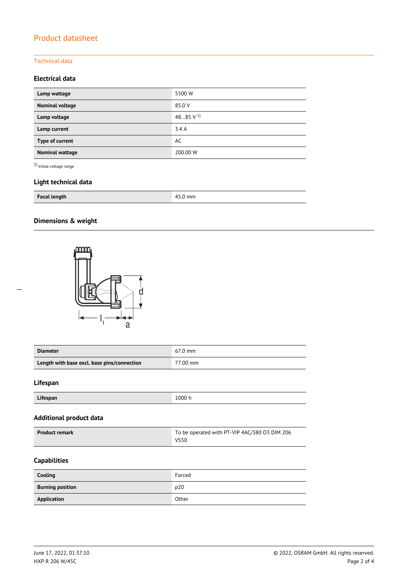### Technical data

### **Electrical data**

| Lamp wattage    | 5500 W               |
|-----------------|----------------------|
| Nominal voltage | 85.0 V               |
| Lamp voltage    | 4885 V <sup>1)</sup> |
| Lamp current    | 3.4A                 |
| Type of current | AC                   |
| Nominal wattage | 200.00 W             |

 $^{\rm 1)}$  Initial voltage range

## **Light technical data**

| <b>Focal length</b> | mm<br>л |
|---------------------|---------|
|---------------------|---------|

### **Dimensions & weight**



| <b>Diameter</b>                             | $67.0$ mm |
|---------------------------------------------|-----------|
| Length with base excl. base pins/connection | 77.00 mm  |

#### **Lifespan**

| Lifespan | 1000 h |
|----------|--------|

#### **Additional product data**

| <b>Product remark</b> | To be operated with PT-VIP 4AC/380 O3 DIM 206 |  |
|-----------------------|-----------------------------------------------|--|
|                       | <b>VS50</b>                                   |  |

### **Capabilities**

| Cooling                 | Forced |
|-------------------------|--------|
| <b>Burning position</b> | p20    |
| Application             | Other  |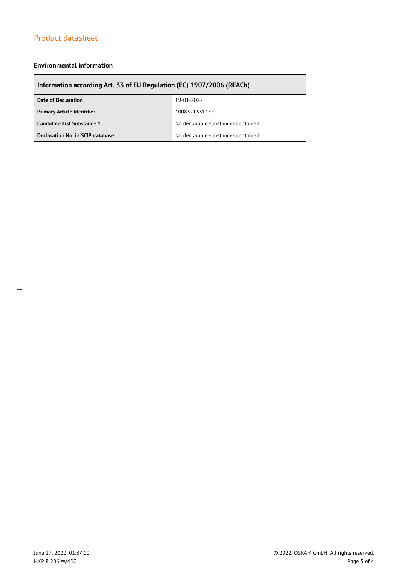#### **Environmental information**

## **Information according Art. 33 of EU Regulation (EC) 1907/2006 (REACh)**

| Date of Declaration                                | 19-01-2022                         |  |
|----------------------------------------------------|------------------------------------|--|
| <b>Primary Article Identifier</b><br>4008321331472 |                                    |  |
| Candidate List Substance 1                         | No declarable substances contained |  |
| Declaration No. in SCIP database                   | No declarable substances contained |  |